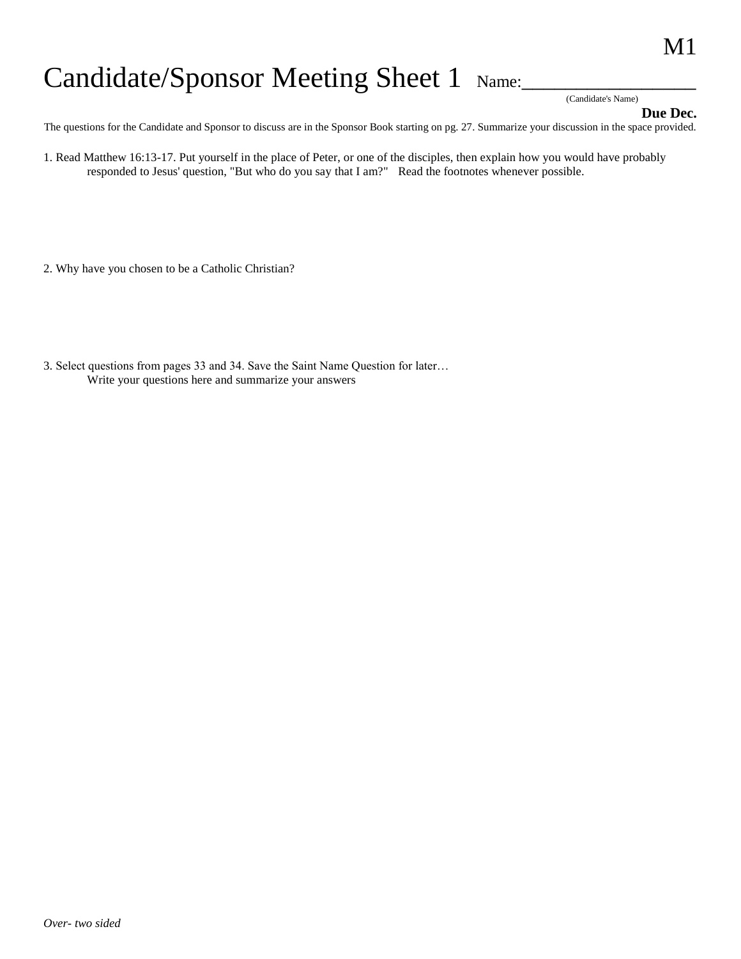## Candidate/Sponsor Meeting Sheet 1 Name:

(Candidate's Name)

**Due Dec.** 

The questions for the Candidate and Sponsor to discuss are in the Sponsor Book starting on pg. 27. Summarize your discussion in the space provided.

1. Read Matthew 16:13-17. Put yourself in the place of Peter, or one of the disciples, then explain how you would have probably responded to Jesus' question, "But who do you say that I am?" Read the footnotes whenever possible.

- 2. Why have you chosen to be a Catholic Christian?
- 3. Select questions from pages 33 and 34. Save the Saint Name Question for later… Write your questions here and summarize your answers